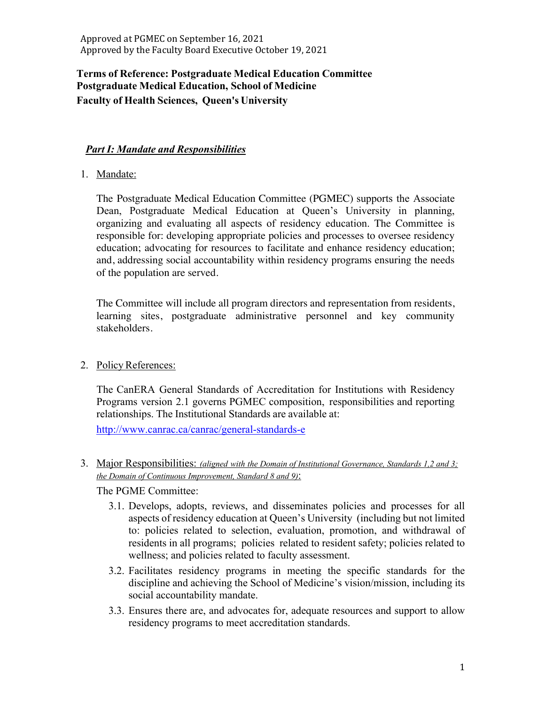# **Terms of Reference: Postgraduate Medical Education Committee Postgraduate Medical Education, School of Medicine Faculty of Health Sciences, Queen's University**

## *Part I: Mandate and Responsibilities*

1. Mandate:

The Postgraduate Medical Education Committee (PGMEC) supports the Associate Dean, Postgraduate Medical Education at Queen's University in planning, organizing and evaluating all aspects of residency education. The Committee is responsible for: developing appropriate policies and processes to oversee residency education; advocating for resources to facilitate and enhance residency education; and, addressing social accountability within residency programs ensuring the needs of the population are served.

The Committee will include all program directors and representation from residents, learning sites, postgraduate administrative personnel and key community stakeholders.

2. Policy References:

The CanERA General Standards of Accreditation for Institutions with Residency Programs version 2.1 governs PGMEC composition, responsibilities and reporting relationships. The Institutional Standards are available at:

http://www.canrac.ca/canrac/general-standards-e

3. Major Responsibilities: *(aligned with the Domain of Institutional Governance, Standards 1,2 and 3; the Domain of Continuous Improvement, Standard 8 and 9)*:

The PGME Committee:

- 3.1. Develops, adopts, reviews, and disseminates policies and processes for all aspects of residency education at Queen's University (including but not limited to: policies related to selection, evaluation, promotion, and withdrawal of residents in all programs; policies related to resident safety; policies related to wellness; and policies related to faculty assessment.
- 3.2. Facilitates residency programs in meeting the specific standards for the discipline and achieving the School of Medicine's vision/mission, including its social accountability mandate.
- 3.3. Ensures there are, and advocates for, adequate resources and support to allow residency programs to meet accreditation standards.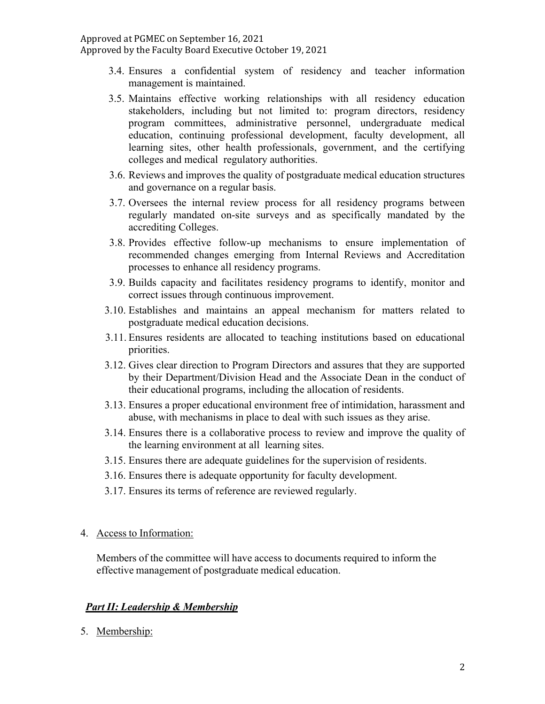- 3.4. Ensures a confidential system of residency and teacher information management is maintained.
- 3.5. Maintains effective working relationships with all residency education stakeholders, including but not limited to: program directors, residency program committees, administrative personnel, undergraduate medical education, continuing professional development, faculty development, all learning sites, other health professionals, government, and the certifying colleges and medical regulatory authorities.
- 3.6. Reviews and improves the quality of postgraduate medical education structures and governance on a regular basis.
- 3.7. Oversees the internal review process for all residency programs between regularly mandated on-site surveys and as specifically mandated by the accrediting Colleges.
- 3.8. Provides effective follow-up mechanisms to ensure implementation of recommended changes emerging from Internal Reviews and Accreditation processes to enhance all residency programs.
- 3.9. Builds capacity and facilitates residency programs to identify, monitor and correct issues through continuous improvement.
- 3.10. Establishes and maintains an appeal mechanism for matters related to postgraduate medical education decisions.
- 3.11. Ensures residents are allocated to teaching institutions based on educational priorities.
- 3.12. Gives clear direction to Program Directors and assures that they are supported by their Department/Division Head and the Associate Dean in the conduct of their educational programs, including the allocation of residents.
- 3.13. Ensures a proper educational environment free of intimidation, harassment and abuse, with mechanisms in place to deal with such issues as they arise.
- 3.14. Ensures there is a collaborative process to review and improve the quality of the learning environment at all learning sites.
- 3.15. Ensures there are adequate guidelines for the supervision of residents.
- 3.16. Ensures there is adequate opportunity for faculty development.
- 3.17. Ensures its terms of reference are reviewed regularly.

### 4. Access to Information:

Members of the committee will have access to documents required to inform the effective management of postgraduate medical education.

## *Part II: Leadership & Membership*

5. Membership: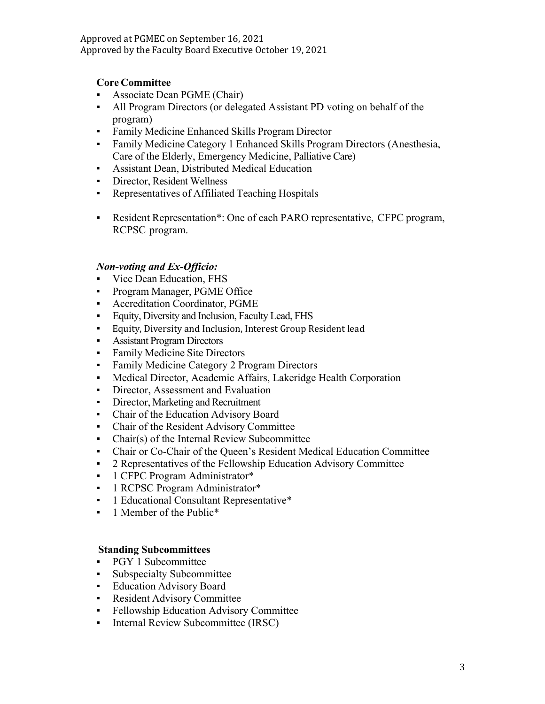## **Core Committee**

- Associate Dean PGME (Chair)
- All Program Directors (or delegated Assistant PD voting on behalf of the program)
- **Family Medicine Enhanced Skills Program Director**
- Family Medicine Category 1 Enhanced Skills Program Directors (Anesthesia, Care of the Elderly, Emergency Medicine, Palliative Care)
- Assistant Dean, Distributed Medical Education
- Director, Resident Wellness
- Representatives of Affiliated Teaching Hospitals
- Resident Representation\*: One of each PARO representative, CFPC program, RCPSC program.

### *Non-voting and Ex-Officio:*

- Vice Dean Education, FHS
- Program Manager, PGME Office
- Accreditation Coordinator, PGME
- Equity, Diversity and Inclusion, Faculty Lead, FHS
- Equity, Diversity and Inclusion, Interest Group Resident lead
- Assistant Program Directors
- Family Medicine Site Directors
- **Family Medicine Category 2 Program Directors**
- Medical Director, Academic Affairs, Lakeridge Health Corporation
- **•** Director, Assessment and Evaluation
- **•** Director, Marketing and Recruitment
- Chair of the Education Advisory Board
- Chair of the Resident Advisory Committee
- Chair(s) of the Internal Review Subcommittee
- Chair or Co-Chair of the Queen's Resident Medical Education Committee
- 2 Representatives of the Fellowship Education Advisory Committee
- **•** 1 CFPC Program Administrator\*
- **•** 1 RCPSC Program Administrator\*
- **•** 1 Educational Consultant Representative\*
- **•** 1 Member of the Public<sup>\*</sup>

### **Standing Subcommittees**

- PGY 1 Subcommittee
- Subspecialty Subcommittee
- Education Advisory Board
- Resident Advisory Committee
- **•** Fellowship Education Advisory Committee
- **•** Internal Review Subcommittee (IRSC)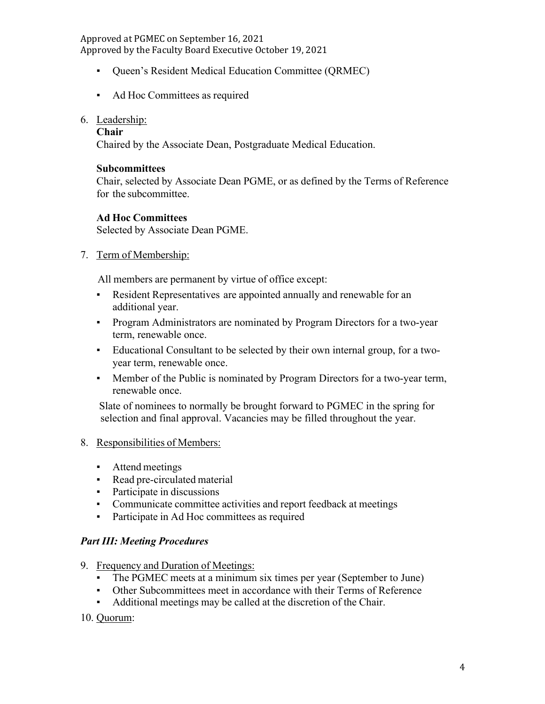- Queen's Resident Medical Education Committee (QRMEC)
- Ad Hoc Committees as required

## 6. Leadership:

#### **Chair**

Chaired by the Associate Dean, Postgraduate Medical Education.

## **Subcommittees**

Chair, selected by Associate Dean PGME, or as defined by the Terms of Reference for the subcommittee.

## **Ad Hoc Committees**

Selected by Associate Dean PGME.

## 7. Term of Membership:

All members are permanent by virtue of office except:

- Resident Representatives are appointed annually and renewable for an additional year.
- Program Administrators are nominated by Program Directors for a two-year term, renewable once.
- Educational Consultant to be selected by their own internal group, for a twoyear term, renewable once.
- Member of the Public is nominated by Program Directors for a two-year term, renewable once.

Slate of nominees to normally be brought forward to PGMEC in the spring for selection and final approval. Vacancies may be filled throughout the year.

## 8. Responsibilities of Members:

- Attend meetings
- Read pre-circulated material
- Participate in discussions
- Communicate committee activities and report feedback at meetings
- Participate in Ad Hoc committees as required

### *Part III: Meeting Procedures*

- 9. Frequency and Duration of Meetings:
	- The PGMEC meets at a minimum six times per year (September to June)
	- Other Subcommittees meet in accordance with their Terms of Reference
	- Additional meetings may be called at the discretion of the Chair.

### 10. Quorum: